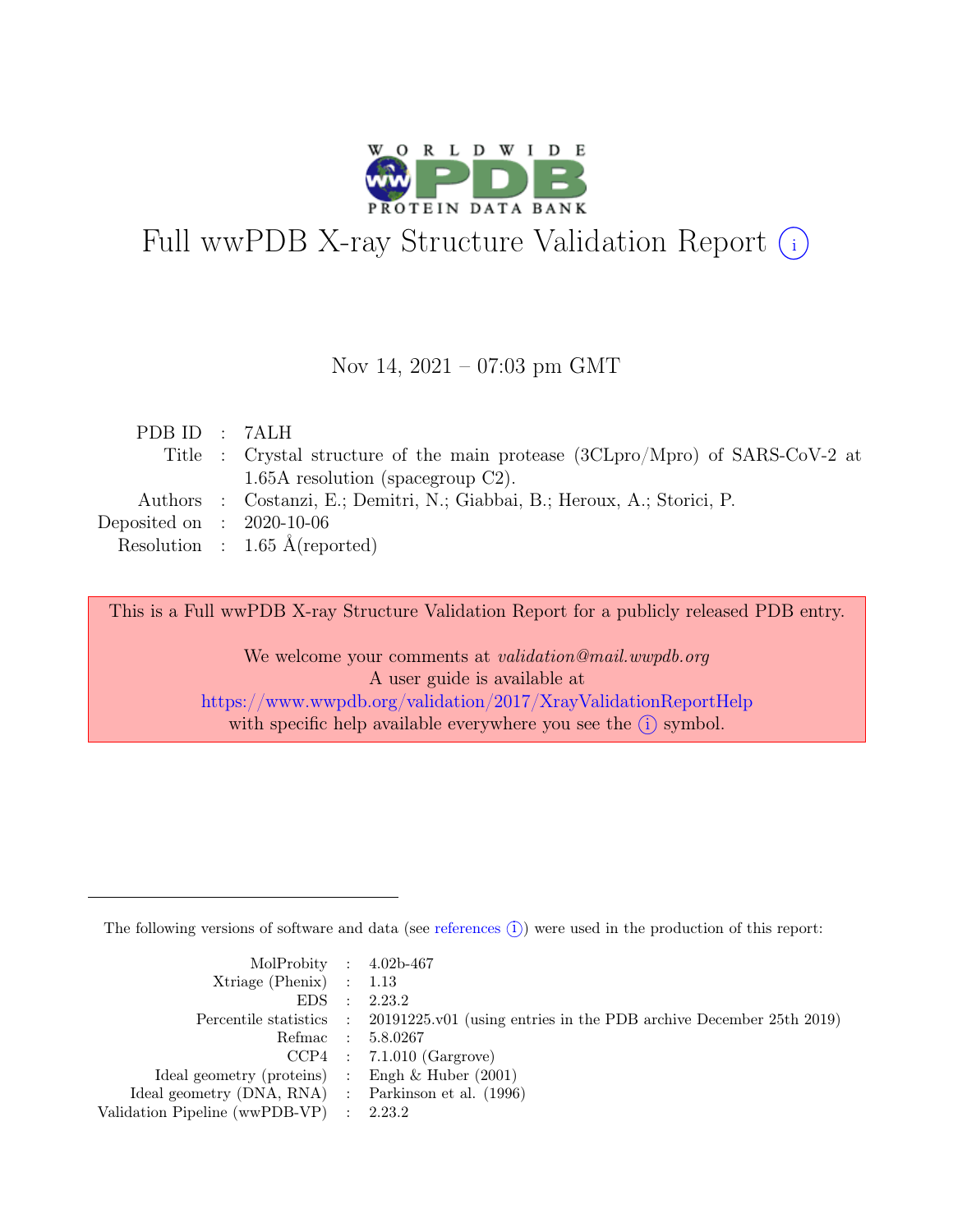

# Full wwPDB X-ray Structure Validation Report  $\bigcirc$

#### Nov 14, 2021 – 07:03 pm GMT

| PDB ID : 7ALH               |                                                                               |
|-----------------------------|-------------------------------------------------------------------------------|
|                             | Title : Crystal structure of the main protease (3CLpro/Mpro) of SARS-CoV-2 at |
|                             | $1.65A$ resolution (spacegroup C2).                                           |
|                             | Authors : Costanzi, E.; Demitri, N.; Giabbai, B.; Heroux, A.; Storici, P.     |
| Deposited on : $2020-10-06$ |                                                                               |
|                             | Resolution : $1.65 \text{ Å}$ (reported)                                      |
|                             |                                                                               |

This is a Full wwPDB X-ray Structure Validation Report for a publicly released PDB entry.

We welcome your comments at *validation@mail.wwpdb.org* A user guide is available at <https://www.wwpdb.org/validation/2017/XrayValidationReportHelp> with specific help available everywhere you see the  $(i)$  symbol.

The following versions of software and data (see [references](https://www.wwpdb.org/validation/2017/XrayValidationReportHelp#references)  $(i)$ ) were used in the production of this report:

| MolProbity : $4.02b-467$                            |                                                                                            |
|-----------------------------------------------------|--------------------------------------------------------------------------------------------|
| $Xtriangle (Phenix)$ : 1.13                         |                                                                                            |
|                                                     | EDS : 2.23.2                                                                               |
|                                                     | Percentile statistics : 20191225.v01 (using entries in the PDB archive December 25th 2019) |
|                                                     | Refmac : 5.8.0267                                                                          |
|                                                     | $CCP4$ : 7.1.010 (Gargrove)                                                                |
| Ideal geometry (proteins) : Engh $\&$ Huber (2001)  |                                                                                            |
| Ideal geometry (DNA, RNA) : Parkinson et al. (1996) |                                                                                            |
| Validation Pipeline (wwPDB-VP) : 2.23.2             |                                                                                            |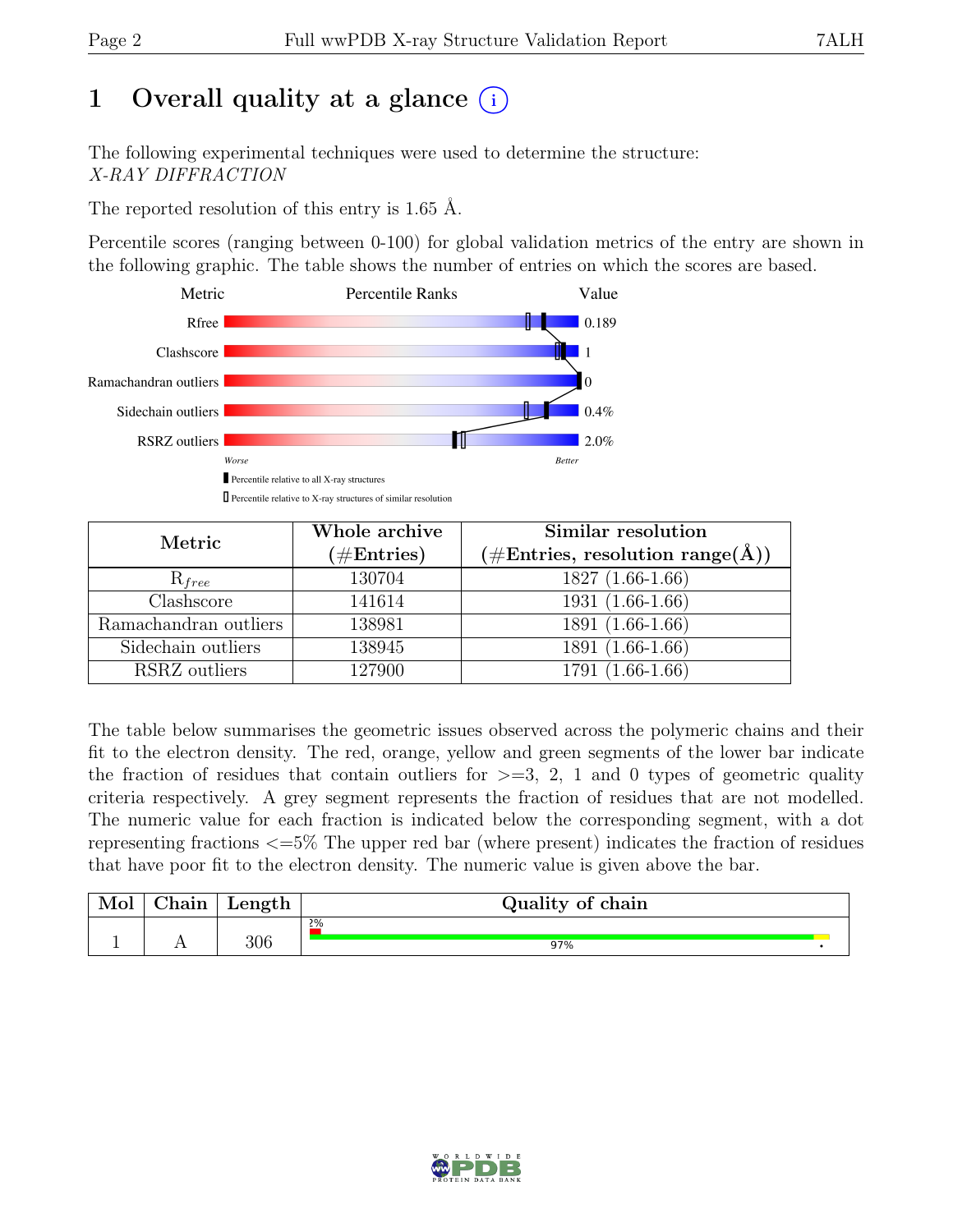## 1 Overall quality at a glance  $(i)$

The following experimental techniques were used to determine the structure: X-RAY DIFFRACTION

The reported resolution of this entry is 1.65 Å.

Percentile scores (ranging between 0-100) for global validation metrics of the entry are shown in the following graphic. The table shows the number of entries on which the scores are based.



| Metric                | Whole archive<br>$(\#Entries)$ | Similar resolution<br>$(\# \text{Entries}, \text{ resolution range}(\AA))$ |
|-----------------------|--------------------------------|----------------------------------------------------------------------------|
| $\mathrm{R}_{free}$   | 130704                         | $1827(1.66-1.66)$                                                          |
| Clashscore            | 141614                         | $1931(1.66-1.66)$                                                          |
| Ramachandran outliers | 138981                         | 1891 (1.66-1.66)                                                           |
| Sidechain outliers    | 138945                         | 1891 (1.66-1.66)                                                           |
| RSRZ outliers         | 127900                         | 1791 (1.66-1.66)                                                           |

The table below summarises the geometric issues observed across the polymeric chains and their fit to the electron density. The red, orange, yellow and green segments of the lower bar indicate the fraction of residues that contain outliers for  $\geq$ =3, 2, 1 and 0 types of geometric quality criteria respectively. A grey segment represents the fraction of residues that are not modelled. The numeric value for each fraction is indicated below the corresponding segment, with a dot representing fractions <=5% The upper red bar (where present) indicates the fraction of residues that have poor fit to the electron density. The numeric value is given above the bar.

| Mol      | $\sim$ $\sim$<br>hain | $L$ ength | Quality of chain |
|----------|-----------------------|-----------|------------------|
|          |                       |           | 2%               |
| <b>.</b> | $\overline{1}$        | 306       | 97%              |

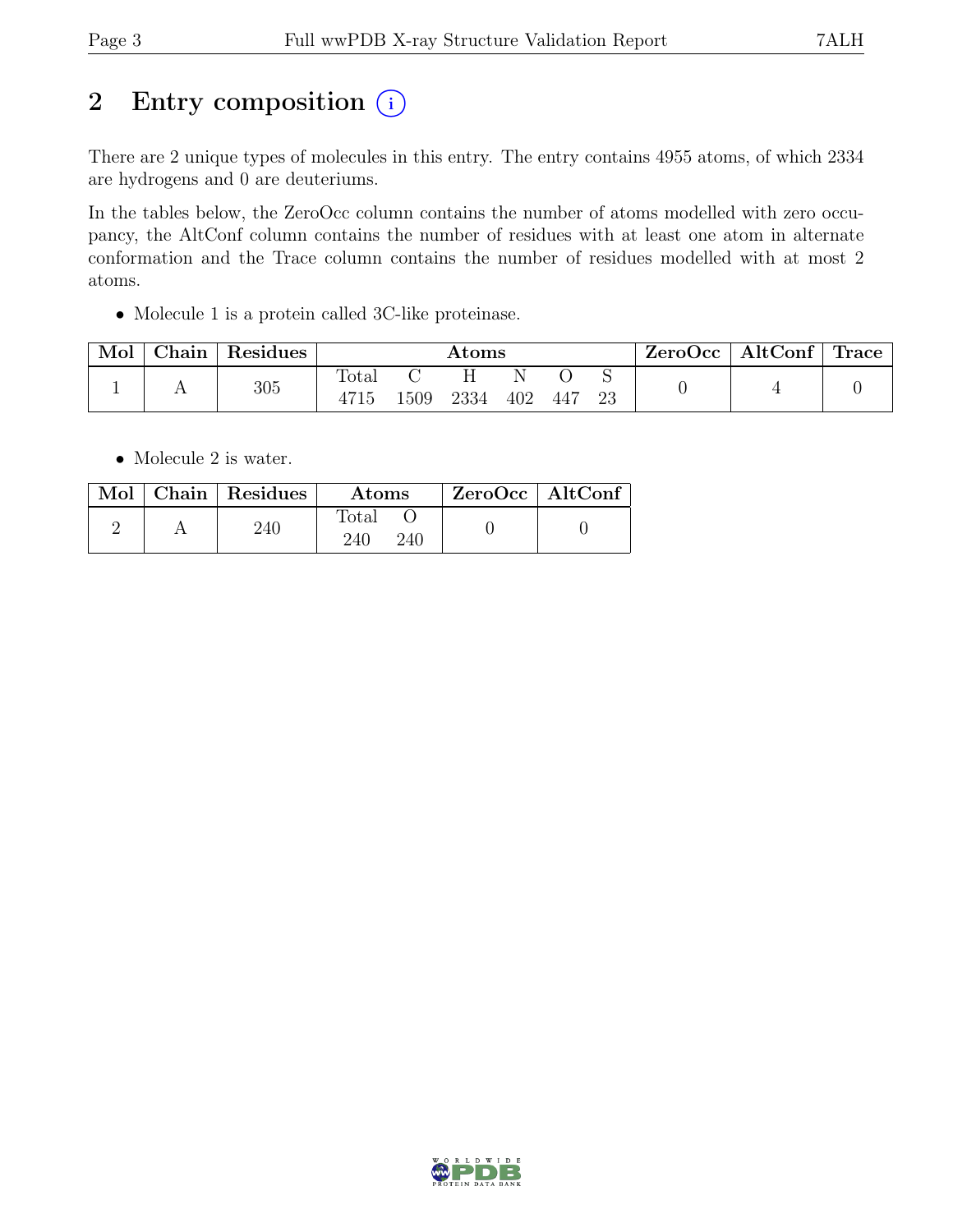## 2 Entry composition  $(i)$

There are 2 unique types of molecules in this entry. The entry contains 4955 atoms, of which 2334 are hydrogens and 0 are deuteriums.

In the tables below, the ZeroOcc column contains the number of atoms modelled with zero occupancy, the AltConf column contains the number of residues with at least one atom in alternate conformation and the Trace column contains the number of residues modelled with at most 2 atoms.

• Molecule 1 is a protein called 3C-like proteinase.

| Mol | Chain | Residues |               | $\rm{Atoms}$ |      |     |     |    | ZeroOcc | $\vert$ AltConf $\vert$ Trace |  |
|-----|-------|----------|---------------|--------------|------|-----|-----|----|---------|-------------------------------|--|
|     |       | 305      | Total<br>4715 | 1509         | 2334 | 402 | 447 | 23 |         |                               |  |

• Molecule 2 is water.

|  | $\boxed{\text{Mol}}$ Chain   Residues | Atoms               | ZeroOcc   AltConf |  |
|--|---------------------------------------|---------------------|-------------------|--|
|  | 240                                   | Total<br>240<br>240 |                   |  |

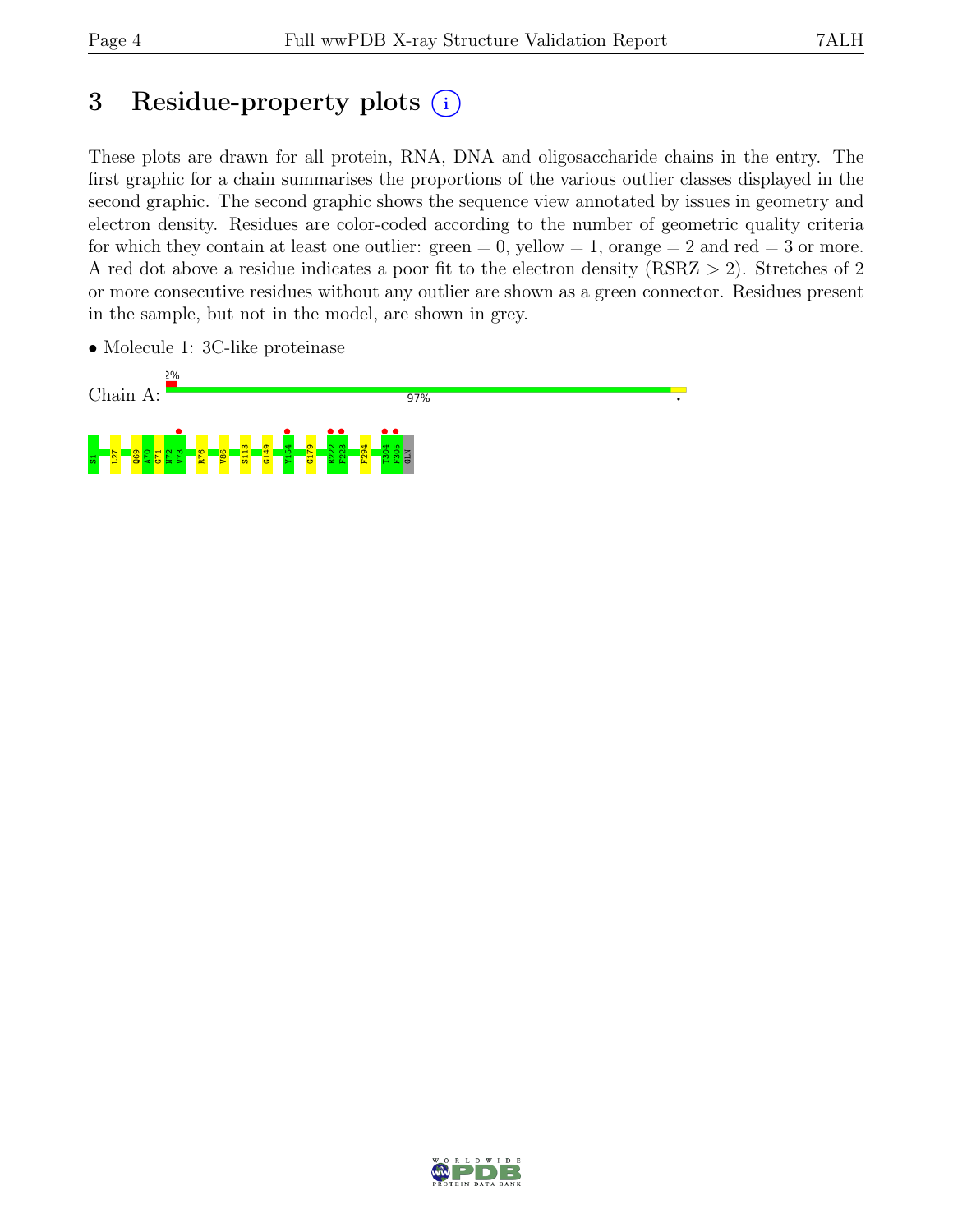## 3 Residue-property plots  $(i)$

These plots are drawn for all protein, RNA, DNA and oligosaccharide chains in the entry. The first graphic for a chain summarises the proportions of the various outlier classes displayed in the second graphic. The second graphic shows the sequence view annotated by issues in geometry and electron density. Residues are color-coded according to the number of geometric quality criteria for which they contain at least one outlier:  $green = 0$ , yellow  $= 1$ , orange  $= 2$  and red  $= 3$  or more. A red dot above a residue indicates a poor fit to the electron density (RSRZ > 2). Stretches of 2 or more consecutive residues without any outlier are shown as a green connector. Residues present in the sample, but not in the model, are shown in grey.

• Molecule 1: 3C-like proteinase

![](_page_3_Figure_6.jpeg)

![](_page_3_Picture_7.jpeg)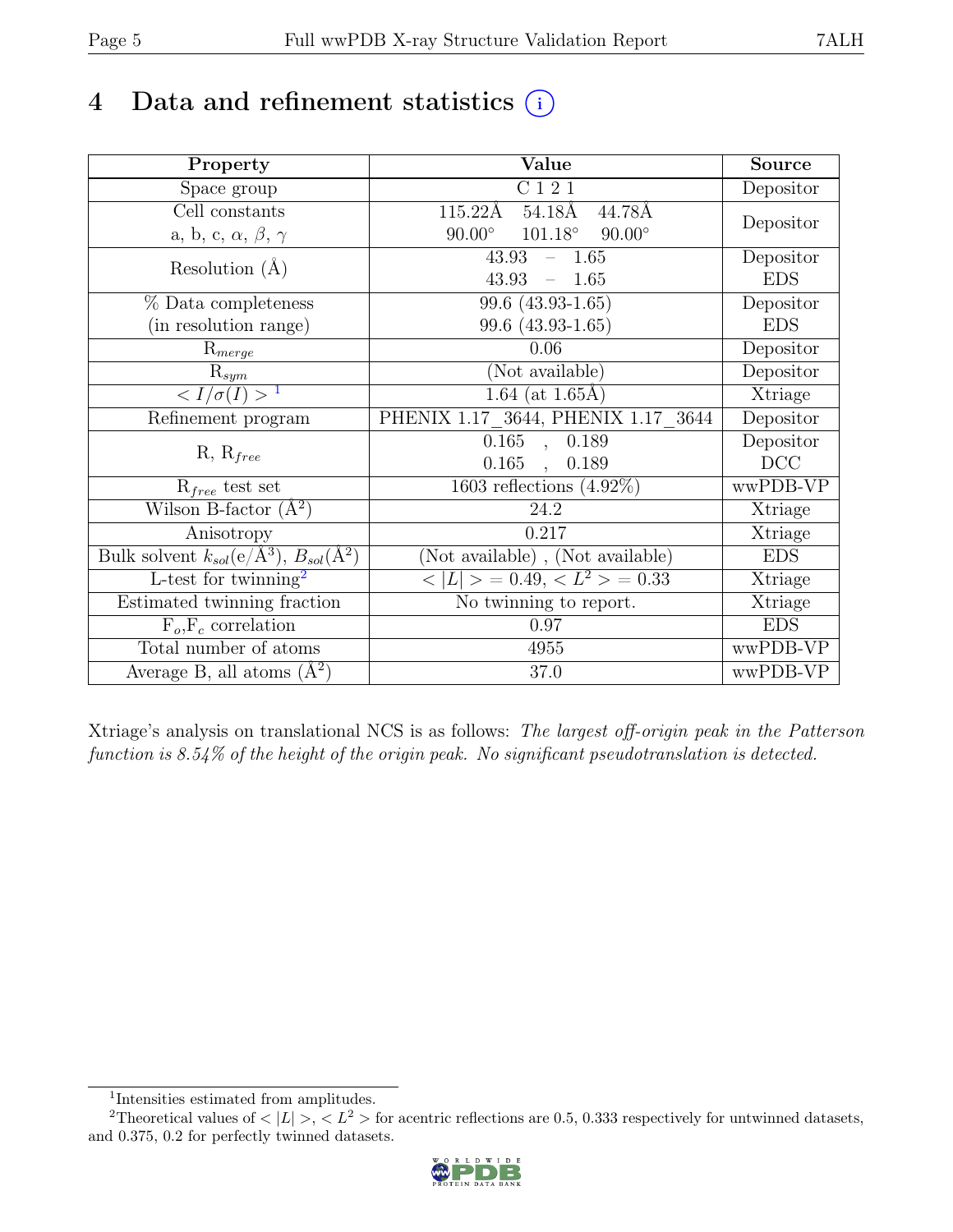## 4 Data and refinement statistics  $(i)$

| Property                                                             | Value                                            | <b>Source</b> |
|----------------------------------------------------------------------|--------------------------------------------------|---------------|
| Space group                                                          | C 1 2 1                                          | Depositor     |
| Cell constants                                                       | $54.18\text{\AA}$<br>115.22Å<br>44.78Å           |               |
| a, b, c, $\alpha,\,\beta,\,\gamma$                                   | $101.18^\circ$<br>$90.00^\circ$<br>$90.00^\circ$ | Depositor     |
| Resolution $(A)$                                                     | 43.93<br>$-1.65$                                 | Depositor     |
|                                                                      | $43.93 - 1.65$                                   | <b>EDS</b>    |
| % Data completeness                                                  | $99.6(43.93-1.65)$                               | Depositor     |
| (in resolution range)                                                | 99.6 $(43.93-1.65)$                              | <b>EDS</b>    |
| $R_{merge}$                                                          | 0.06                                             | Depositor     |
| $\mathrm{R}_{sym}$                                                   | (Not available)                                  | Depositor     |
| $\langle I/\sigma(I) \rangle$ <sup>1</sup>                           | $1.64$ (at $1.65$ Å)                             | Xtriage       |
| Refinement program                                                   | PHENIX 1.17 3644, PHENIX 1.17 3644               | Depositor     |
| $R, R_{free}$                                                        | 0.165<br>, 0.189                                 | Depositor     |
|                                                                      | 0.165<br>0.189<br>$\ddot{\phantom{a}}$           | DCC           |
| $R_{free}$ test set                                                  | 1603 reflections $(4.92\%)$                      | wwPDB-VP      |
| Wilson B-factor $(\AA^2)$                                            | 24.2                                             | Xtriage       |
| Anisotropy                                                           | 0.217                                            | Xtriage       |
| Bulk solvent $k_{sol}(e/\mathring{A}^3)$ , $B_{sol}(\mathring{A}^2)$ | (Not available), (Not available)                 | <b>EDS</b>    |
| $L$ -test for twinning <sup>2</sup>                                  | $< L >$ = 0.49, $< L^2 >$ = 0.33                 | Xtriage       |
| Estimated twinning fraction                                          | No twinning to report.                           | Xtriage       |
| $F_o, F_c$ correlation                                               | 0.97                                             | <b>EDS</b>    |
| Total number of atoms                                                | 4955                                             | wwPDB-VP      |
| Average B, all atoms $(A^2)$                                         | 37.0                                             | wwPDB-VP      |

Xtriage's analysis on translational NCS is as follows: The largest off-origin peak in the Patterson function is 8.54% of the height of the origin peak. No significant pseudotranslation is detected.

<sup>&</sup>lt;sup>2</sup>Theoretical values of  $\langle |L| \rangle$ ,  $\langle L^2 \rangle$  for acentric reflections are 0.5, 0.333 respectively for untwinned datasets, and 0.375, 0.2 for perfectly twinned datasets.

![](_page_4_Picture_8.jpeg)

<span id="page-4-1"></span><span id="page-4-0"></span><sup>1</sup> Intensities estimated from amplitudes.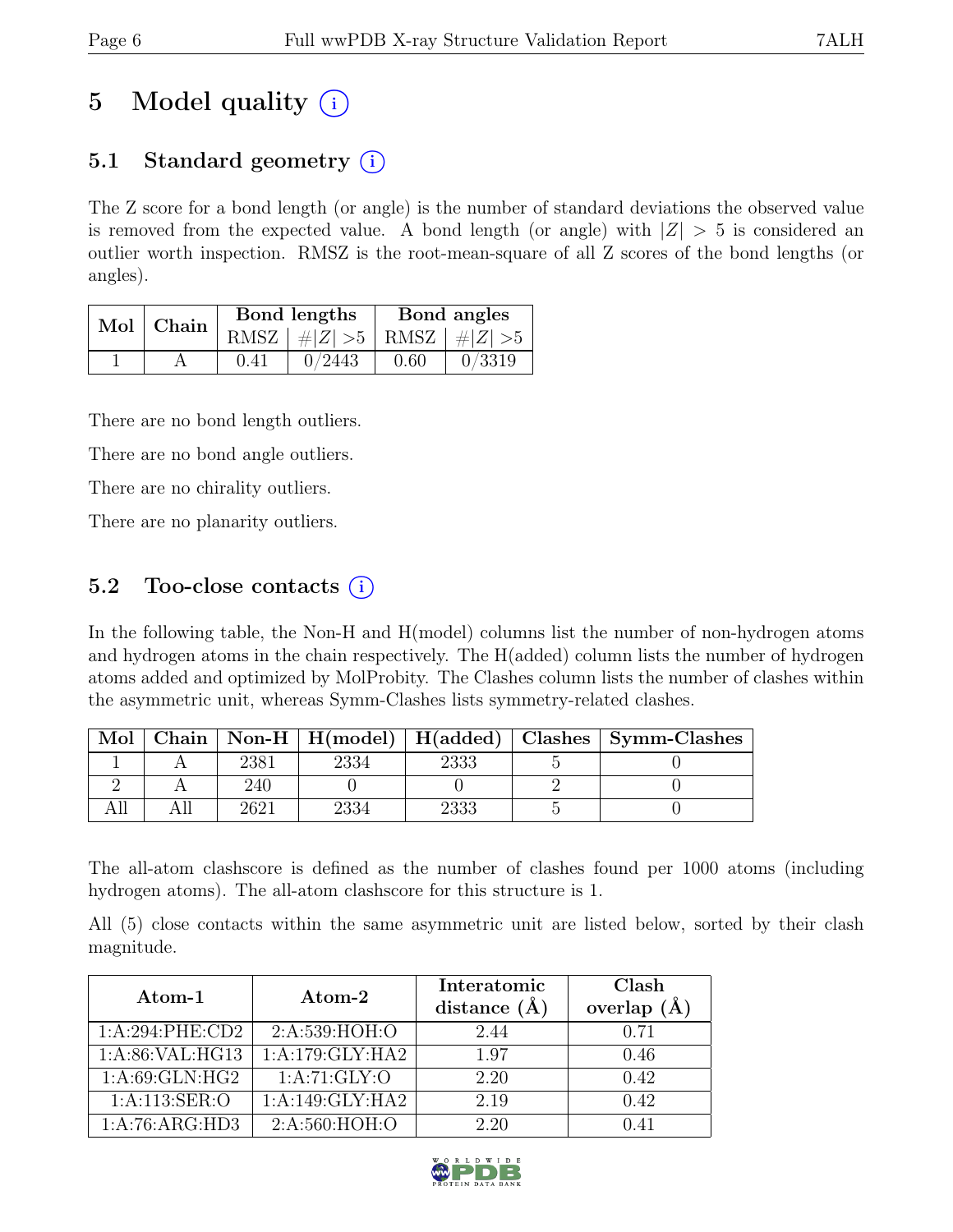## 5 Model quality  $(i)$

### 5.1 Standard geometry  $(i)$

The Z score for a bond length (or angle) is the number of standard deviations the observed value is removed from the expected value. A bond length (or angle) with  $|Z| > 5$  is considered an outlier worth inspection. RMSZ is the root-mean-square of all Z scores of the bond lengths (or angles).

| Mol | <sup>'</sup> Chain |      | Bond lengths                    | Bond angles |        |  |
|-----|--------------------|------|---------------------------------|-------------|--------|--|
|     |                    |      | RMSZ $ #Z  > 5$ RMSZ $ #Z  > 5$ |             |        |  |
|     |                    | 0.41 | 0/2443                          | 0.60        | 0/3319 |  |

There are no bond length outliers.

There are no bond angle outliers.

There are no chirality outliers.

There are no planarity outliers.

### 5.2 Too-close contacts  $(i)$

In the following table, the Non-H and H(model) columns list the number of non-hydrogen atoms and hydrogen atoms in the chain respectively. The H(added) column lists the number of hydrogen atoms added and optimized by MolProbity. The Clashes column lists the number of clashes within the asymmetric unit, whereas Symm-Clashes lists symmetry-related clashes.

| Mol |      |      |  | Chain   Non-H   H(model)   H(added)   Clashes   Symm-Clashes |
|-----|------|------|--|--------------------------------------------------------------|
|     | 2381 | 2334 |  |                                                              |
|     | 240  |      |  |                                                              |
|     | າຂາ  | 2334 |  |                                                              |

The all-atom clashscore is defined as the number of clashes found per 1000 atoms (including hydrogen atoms). The all-atom clashscore for this structure is 1.

All (5) close contacts within the same asymmetric unit are listed below, sorted by their clash magnitude.

| Atom-1            | Atom-2             | Interatomic<br>distance $(\AA)$ | Clash<br>overlap $(A)$ |
|-------------------|--------------------|---------------------------------|------------------------|
| 1: A:294:PHE:CD2  | 2: A:539:HOH:O     | 2.44                            | 0.71                   |
| 1:A:86:VAL:HG13   | 1:A:179:GLY:HA2    | 1.97                            | 0.46                   |
| 1: A:69: GLN: HG2 | 1: A:71: GLY:O     | 2.20                            | 0.42                   |
| 1:A:113:SER:O     | 1: A:149: GLY: HA2 | 2.19                            | 0.42                   |
| 1:A:76:ARG:HD3    | 2: A:560:HOH:O     | 2.20                            |                        |

![](_page_5_Picture_17.jpeg)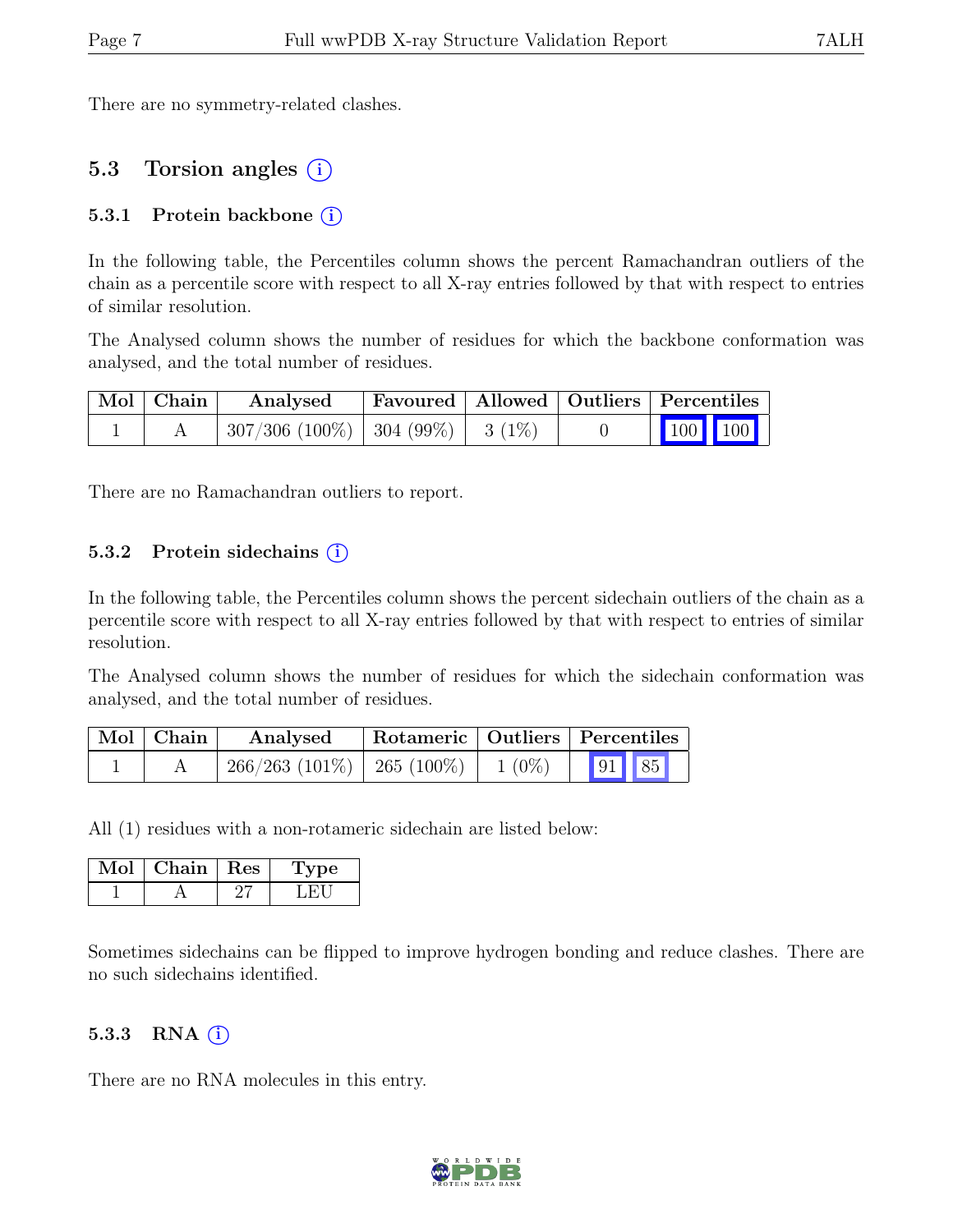There are no symmetry-related clashes.

### 5.3 Torsion angles (i)

#### 5.3.1 Protein backbone  $(i)$

In the following table, the Percentiles column shows the percent Ramachandran outliers of the chain as a percentile score with respect to all X-ray entries followed by that with respect to entries of similar resolution.

The Analysed column shows the number of residues for which the backbone conformation was analysed, and the total number of residues.

| $\vert$ Mol $\vert$ Chain $\vert$ | Analysed                              |  | Favoured   Allowed   Outliers   Percentiles              |
|-----------------------------------|---------------------------------------|--|----------------------------------------------------------|
|                                   | $307/306$ (100%)   304 (99%)   3 (1%) |  | $\begin{array}{ c c c }\n\hline\n100 & 100\n\end{array}$ |

There are no Ramachandran outliers to report.

#### 5.3.2 Protein sidechains  $(i)$

In the following table, the Percentiles column shows the percent sidechain outliers of the chain as a percentile score with respect to all X-ray entries followed by that with respect to entries of similar resolution.

The Analysed column shows the number of residues for which the sidechain conformation was analysed, and the total number of residues.

| $\mid$ Mol $\mid$ Chain | Analysed                        |          | Rotameric   Outliers   Percentiles |  |  |
|-------------------------|---------------------------------|----------|------------------------------------|--|--|
|                         | $266/263$ (101\%)   265 (100\%) | $1(0\%)$ | 91 85                              |  |  |

All (1) residues with a non-rotameric sidechain are listed below:

| Mol | Chain   Res | 'De |
|-----|-------------|-----|
|     |             |     |

Sometimes sidechains can be flipped to improve hydrogen bonding and reduce clashes. There are no such sidechains identified.

#### 5.3.3 RNA $(i)$

There are no RNA molecules in this entry.

![](_page_6_Picture_19.jpeg)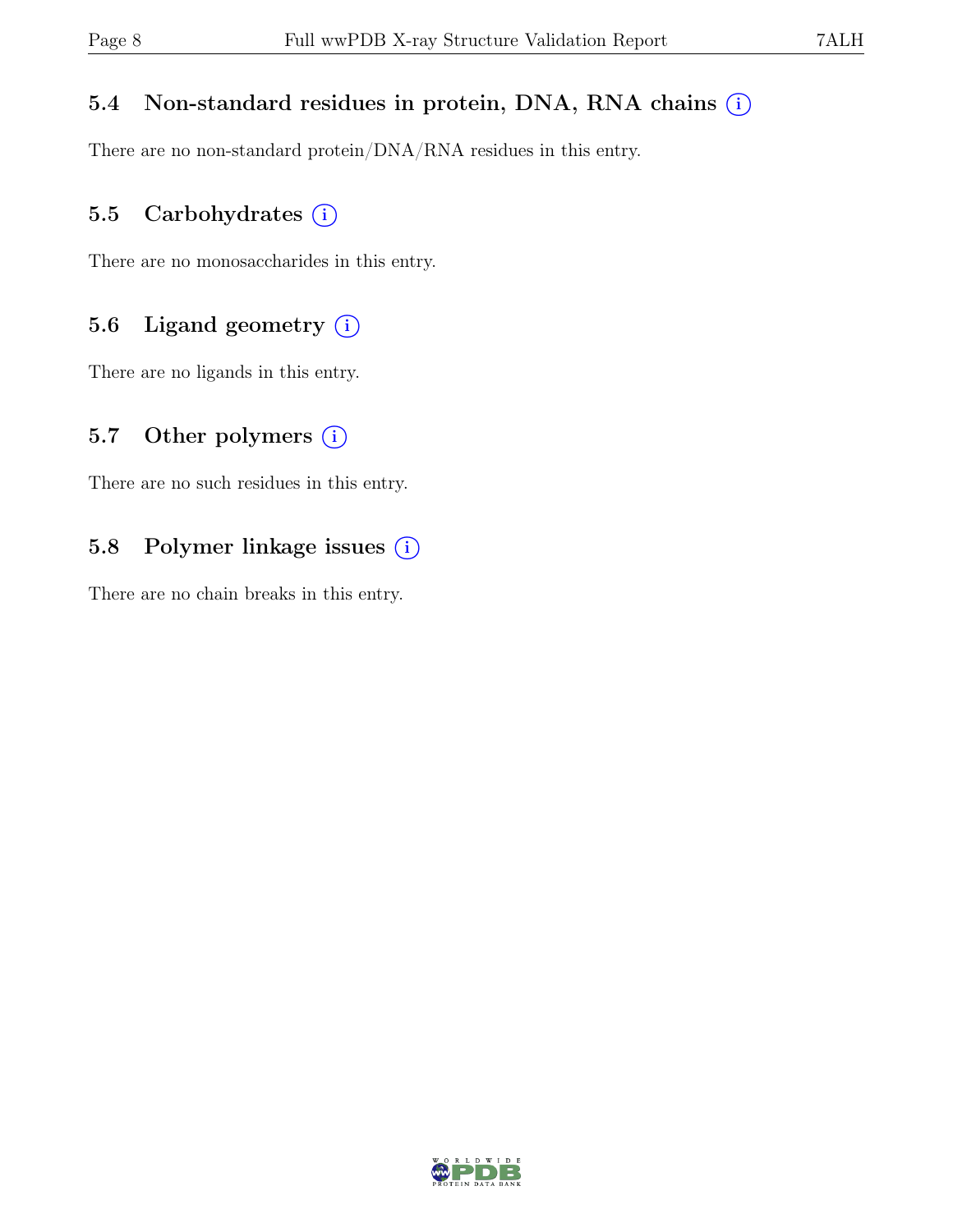#### 5.4 Non-standard residues in protein, DNA, RNA chains  $(i)$

There are no non-standard protein/DNA/RNA residues in this entry.

### 5.5 Carbohydrates  $(i)$

There are no monosaccharides in this entry.

### 5.6 Ligand geometry  $(i)$

There are no ligands in this entry.

#### 5.7 Other polymers  $(i)$

There are no such residues in this entry.

### 5.8 Polymer linkage issues (i)

There are no chain breaks in this entry.

![](_page_7_Picture_13.jpeg)